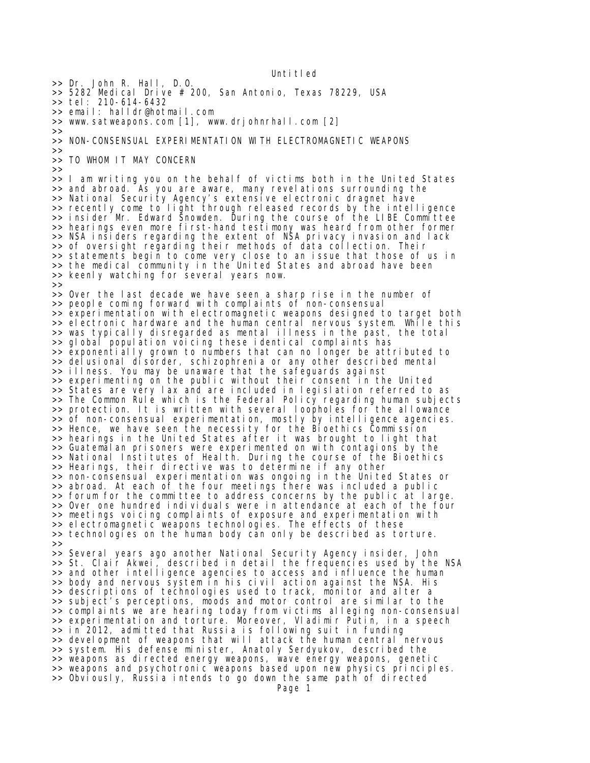Unti tled

>> Dr. John R. Hall, D.O. >> 5282 Medical Drive # 200, San Antonio, Texas 78229, USA >> tel: 210-614-6432 >> email: halldr@hotmail.com >> www.satweapons.com [1], www.drjohnrhall.com [2] >> >> NON-CONSENSUAL EXPERIMENTATION WITH ELECTROMAGNETIC WEAPONS >> >> TO WHOM IT MAY CONCERN >> >> I am writing you on the behalf of victims both in the United States >> and abroad. As you are aware, many revelations surrounding the >> National Security Agency's extensive electronic dragnet hāve >> recently come to light through released records by the intelligence >> insider Mr. Edward Snowden. During the course of the LIBE Committee >> hearings even more first-hand testimony was heard from other former >> NSA insiders regarding the extent of NSA privacy invasion and lack >> of oversight regarding their methods of data collection. Their >> statements begin to come very close to an issue that those of us in >> the medical community in the United States and abroad have been >> keenly watching for several years now.  $>$ >> Over the last decade we have seen a sharp rise in the number of >> people coming forward with complaints of non-consensual >> experimentation with electromagnetic weapons designed to target both >> electronic hardware and the human central nervous system. While this >> was typically disregarded as mental illness in the past, the total >> global population voicing these identical complaints has >> exponentially grown to numbers that can no longer be attributed to >> delusional disorder, schizophrenia or any other described mental >> illness. You may be unaware that the safeguards against >> experimenting on the public without their consent in the United >> States are very lax and are included in legislation referred to as >> The Common Rule which is the Federal Policy regarding human subjects >> protection. It is written with several loopholes for the allowance >> of non-consensual experimentation, mostly by intelligence agencies. >> Hence, we have seen the necessity for the Bioethics Commission >> hearings in the United States after it was brought to light that >> Guatemalan prisoners were experimented on with contagions by the >> National Institutes of Health. During the course of the Bioethics >> Hearings, their directive was to determine if any other >> non-consensual experimentation was ongoing in the United States or >> abroad. At each of the four meetings there was included a public >> forum for the committee to address concerns by the public at large. >> Over one hundred individuals were in attendance at each of the four >> meetings voicing complaints of exposure and experimentation with >> electromagnetic weapons technologies. The effects of these >> technologies on the human body can only be described as torture. >> >> Several years ago another National Security Agency insider, John >> St. Clair Akwei, described in detail the frequencies used by the NSA >> and other intelligence agencies to access and influence the human >> body and nervous system in his civil action against the NSA. His >> descriptions of technologies used to track, monitor and alter a >> subject's perceptions, moods and motor control are similar to the >> complaints we are hearing today from victims alleging non-consensual >> experimentation and torture. Moreover, Vladimir Putin, in a speech >> in 2012, admitted that Russia is following suit in funding >> development of weapons that will attack the human central nervous >> system. His defense minister, Anatoly Serdyukov, described the >> weapons as directed energy weapons, wave energy weapons, genetic >> weapons and psychotronic weapons based upon new physics principles. >> Obviously, Russia intends to go down the same path of directed